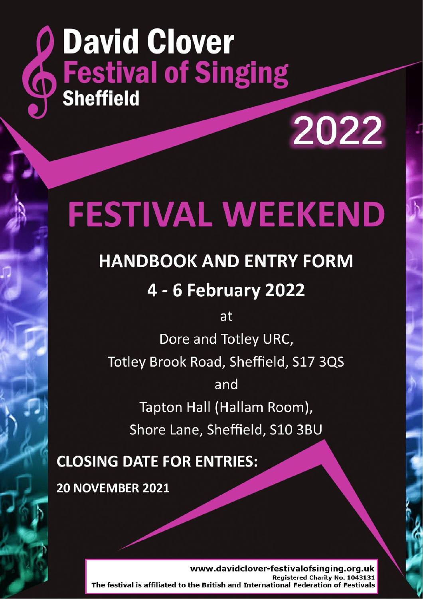# **Q David Clover<br>
Sheffield Districts**

# **FESTIVAL WEEKEND**

2022

# **HANDBOOK AND ENTRY FORM**

# 4 - 6 February 2022

at

Dore and Totley URC, Totley Brook Road, Sheffield, S17 3QS and Tapton Hall (Hallam Room), Shore Lane, Sheffield, S10 3BU

# **CLOSING DATE FOR ENTRIES:**

**20 NOVEMBER 2021** 

www.davidclover-festivalofsinging.org.uk Registered Charity No. 1043131 The festival is affiliated to the British and Internatio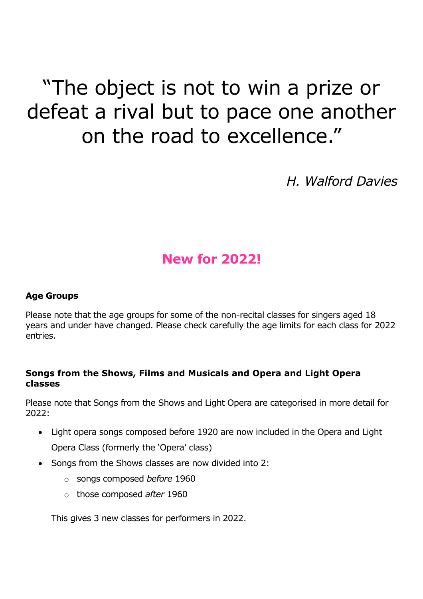# "The object is not to win a prize or defeat a rival but to pace one another on the road to excellence."

*H. Walford Davies*

### **New for 2022!**

### **Age Groups**

Please note that the age groups for some of the non-recital classes for singers aged 18 years and under have changed. Please check carefully the age limits for each class for 2022 entries.

### **Songs from the Shows, Films and Musicals and Opera and Light Opera classes**

Please note that Songs from the Shows and Light Opera are categorised in more detail for  $2022:$ 

- Light opera songs composed before 1920 are now included in the Opera and Light Opera Class (formerly the 'Opera' class)
- Songs from the Shows classes are now divided into 2:
	- o songs composed *before* 1960
	- o those composed *after* 1960

This gives 3 new classes for performers in 2022.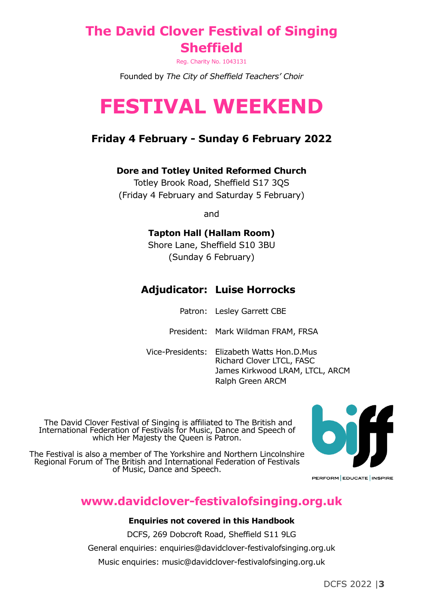## **The David Clover Festival of Singing Sheffield**

Reg. Charity No. 1043131

Founded by *The City of Sheffield Teachers' Choir*

# **FESTIVAL WEEKEND**

### **Friday 4 February - Sunday 6 February 2022**

### **Dore and Totley United Reformed Church**

Totley Brook Road, Sheffield S17 3QS (Friday 4 February and Saturday 5 February)

and

### **Tapton Hall (Hallam Room)**

Shore Lane, Sheffield S10 3BU (Sunday 6 February)

### **Adjudicator: Luise Horrocks**

| Patron: Lesley Garrett CBE                                                                                                     |
|--------------------------------------------------------------------------------------------------------------------------------|
| President: Mark Wildman FRAM, FRSA                                                                                             |
| Vice-Presidents: Elizabeth Watts Hon.D.Mus<br>Richard Clover LTCL, FASC<br>James Kirkwood LRAM, LTCL, ARCM<br>Ralph Green ARCM |

The David Clover Festival of Singing is affiliated to The British and International Federation of Festivals for Music, Dance and Speech of which Her Majesty the Queen is Patron.

Regional Forum of The British and International Federation of Festivals of Music, Dance and Speech.



**PERFORM** EDUCATE INSPIRE

### **www.davidclover-festivalofsinging.org.uk**

### **Enquiries not covered in this Handbook**

DCFS, 269 Dobcroft Road, Sheffield S11 9LG

General enquiries: enquiries@davidclover-festivalofsinging.org.uk

Music enquiries: music@davidclover-festivalofsinging.org.uk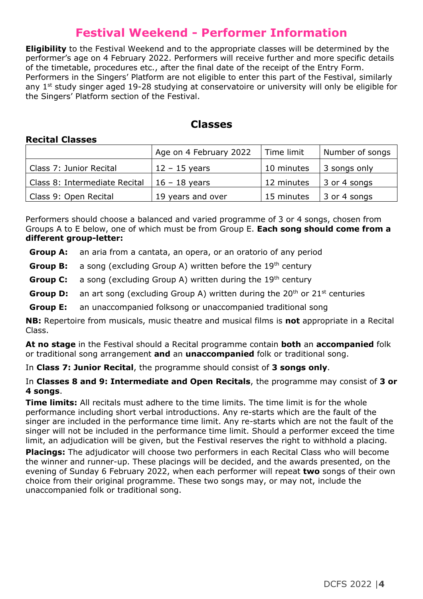### **Festival Weekend - Performer Information**

**Eligibility** to the Festival Weekend and to the appropriate classes will be determined by the performer's age on 4 February 2022. Performers will receive further and more specific details of the timetable, procedures etc., after the final date of the receipt of the Entry Form. Performers in the Singers' Platform are not eligible to enter this part of the Festival, similarly any 1<sup>st</sup> study singer aged 19-28 studying at conservatoire or university will only be eligible for the Singers' Platform section of the Festival.

### **Classes**

### **Recital Classes**

|                               | Age on 4 February 2022 | Time limit | Number of songs |
|-------------------------------|------------------------|------------|-----------------|
| Class 7: Junior Recital       | $12 - 15$ years        | 10 minutes | 3 songs only    |
| Class 8: Intermediate Recital | $16 - 18$ years        | 12 minutes | 3 or 4 songs    |
| Class 9: Open Recital         | 19 years and over      | 15 minutes | 3 or 4 songs    |

Performers should choose a balanced and varied programme of 3 or 4 songs, chosen from Groups A to E below, one of which must be from Group E. **Each song should come from a different group-letter:**

**Group A:** an aria from a cantata, an opera, or an oratorio of any period

**Group B:** a song (excluding Group A) written before the 19<sup>th</sup> century

**Group C:** a song (excluding Group A) written during the 19<sup>th</sup> century

**Group D:** an art song (excluding Group A) written during the 20<sup>th</sup> or 21<sup>st</sup> centuries

**Group E:** an unaccompanied folksong or unaccompanied traditional song

**NB:** Repertoire from musicals, music theatre and musical films is **not** appropriate in a Recital Class.

**At no stage** in the Festival should a Recital programme contain **both** an **accompanied** folk or traditional song arrangement **and** an **unaccompanied** folk or traditional song.

In **Class 7: Junior Recital**, the programme should consist of **3 songs only**.

In **Classes 8 and 9: Intermediate and Open Recitals**, the programme may consist of **3 or 4 songs**.

**Time limits:** All recitals must adhere to the time limits. The time limit is for the whole performance including short verbal introductions. Any re-starts which are the fault of the singer are included in the performance time limit. Any re-starts which are not the fault of the singer will not be included in the performance time limit. Should a performer exceed the time limit, an adjudication will be given, but the Festival reserves the right to withhold a placing.

**Placings:** The adjudicator will choose two performers in each Recital Class who will become the winner and runner-up. These placings will be decided, and the awards presented, on the evening of Sunday 6 February 2022, when each performer will repeat **two** songs of their own choice from their original programme. These two songs may, or may not, include the unaccompanied folk or traditional song.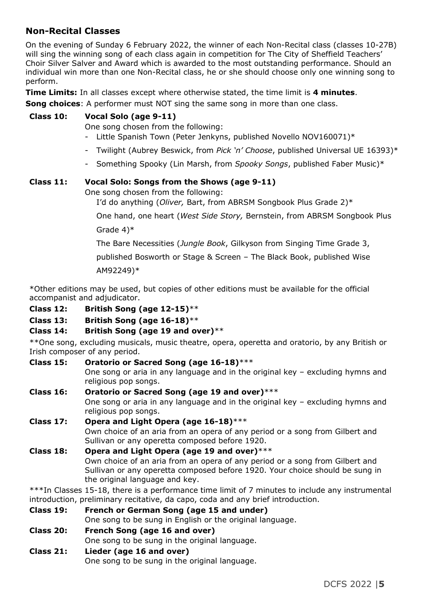### **Non-Recital Classes**

On the evening of Sunday 6 February 2022, the winner of each Non-Recital class (classes 10-27B) will sing the winning song of each class again in competition for The City of Sheffield Teachers' Choir Silver Salver and Award which is awarded to the most outstanding performance. Should an individual win more than one Non-Recital class, he or she should choose only one winning song to perform.

**Time Limits:** In all classes except where otherwise stated, the time limit is **4 minutes**.

**Song choices**: A performer must NOT sing the same song in more than one class.

### **Class 10: Vocal Solo (age 9-11)**

One song chosen from the following:

- Little Spanish Town (Peter Jenkyns, published Novello NOV160071)\*
- Twilight (Aubrey Beswick, from *Pick 'n' Choose*, published Universal UE 16393)\*
- Something Spooky (Lin Marsh, from *Spooky Songs*, published Faber Music)\*

### **Class 11: Vocal Solo: Songs from the Shows (age 9-11)**

One song chosen from the following:

- I'd do anything (*Oliver,* Bart, from ABRSM Songbook Plus Grade 2)\*

- One hand, one heart (*West Side Story,* Bernstein, from ABRSM Songbook Plus Grade 4)\*

- The Bare Necessities (*Jungle Book*, Gilkyson from Singing Time Grade 3,

published Bosworth or Stage & Screen – The Black Book, published Wise AM92249)\*

\*Other editions may be used, but copies of other editions must be available for the official accompanist and adjudicator.

**Class 12: British Song (age 12-15)**\*\*

### **Class 13: British Song (age 16-18)**\*\*

### **Class 14: British Song (age 19 and over)**\*\*

\*\*One song, excluding musicals, music theatre, opera, operetta and oratorio, by any British or Irish composer of any period.

### **Class 15: Oratorio or Sacred Song (age 16-18)**\*\*\*

One song or aria in any language and in the original key – excluding hymns and religious pop songs.

**Class 16: Oratorio or Sacred Song (age 19 and over)**\*\*\* One song or aria in any language and in the original key – excluding hymns and religious pop songs.

### **Class 17: Opera and Light Opera (age 16-18)**\*\*\* Own choice of an aria from an opera of any period or a song from Gilbert and Sullivan or any operetta composed before 1920.

### **Class 18: Opera and Light Opera (age 19 and over)**\*\*\* Own choice of an aria from an opera of any period or a song from Gilbert and Sullivan or any operetta composed before 1920. Your choice should be sung in the original language and key.

\*\*\*In Classes 15-18, there is a performance time limit of 7 minutes to include any instrumental introduction, preliminary recitative, da capo, coda and any brief introduction.

**Class 19: French or German Song (age 15 and under)** One song to be sung in English or the original language.

**Class 20: French Song (age 16 and over)** One song to be sung in the original language.

### **Class 21: Lieder (age 16 and over)**

One song to be sung in the original language.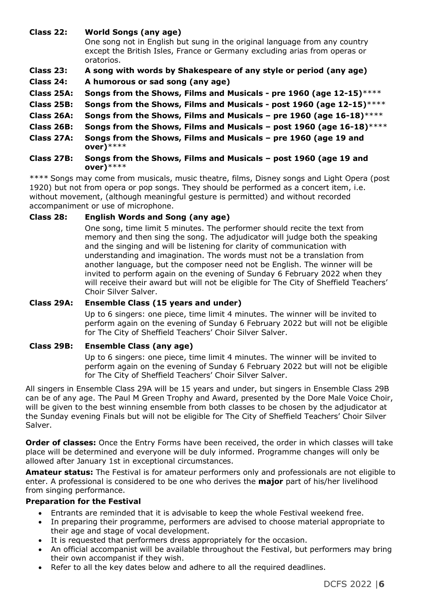### **Class 22: World Songs (any age)**

One song not in English but sung in the original language from any country except the British Isles, France or Germany excluding arias from operas or oratorios.

- **Class 23: A song with words by Shakespeare of any style or period (any age)**
- **Class 24: A humorous or sad song (any age)**
- **Class 25A: Songs from the Shows, Films and Musicals - pre 1960 (age 12-15)**\*\*\*\*
- **Class 25B: Songs from the Shows, Films and Musicals - post 1960 (age 12-15)**\*\*\*\*
- **Class 26A: Songs from the Shows, Films and Musicals – pre 1960 (age 16-18)**\*\*\*\*
- **Class 26B: Songs from the Shows, Films and Musicals – post 1960 (age 16-18)**\*\*\*\*
- **Class 27A: Songs from the Shows, Films and Musicals – pre 1960 (age 19 and over)**\*\*\*\*
- **Class 27B: Songs from the Shows, Films and Musicals – post 1960 (age 19 and over)**\*\*\*\*

\*\*\*\* Songs may come from musicals, music theatre, films, Disney songs and Light Opera (post 1920) but not from opera or pop songs. They should be performed as a concert item, i.e. without movement, (although meaningful gesture is permitted) and without recorded accompaniment or use of microphone.

### **Class 28: English Words and Song (any age)**

One song, time limit 5 minutes. The performer should recite the text from memory and then sing the song. The adjudicator will judge both the speaking and the singing and will be listening for clarity of communication with understanding and imagination. The words must not be a translation from another language, but the composer need not be English. The winner will be invited to perform again on the evening of Sunday 6 February 2022 when they will receive their award but will not be eligible for The City of Sheffield Teachers' Choir Silver Salver.

### **Class 29A: Ensemble Class (15 years and under)**

Up to 6 singers: one piece, time limit 4 minutes. The winner will be invited to perform again on the evening of Sunday 6 February 2022 but will not be eligible for The City of Sheffield Teachers' Choir Silver Salver.

### **Class 29B: Ensemble Class (any age)**

Up to 6 singers: one piece, time limit 4 minutes. The winner will be invited to perform again on the evening of Sunday 6 February 2022 but will not be eligible for The City of Sheffield Teachers' Choir Silver Salver.

All singers in Ensemble Class 29A will be 15 years and under, but singers in Ensemble Class 29B can be of any age. The Paul M Green Trophy and Award, presented by the Dore Male Voice Choir, will be given to the best winning ensemble from both classes to be chosen by the adjudicator at the Sunday evening Finals but will not be eligible for The City of Sheffield Teachers' Choir Silver Salver.

**Order of classes:** Once the Entry Forms have been received, the order in which classes will take place will be determined and everyone will be duly informed. Programme changes will only be allowed after January 1st in exceptional circumstances.

**Amateur status:** The Festival is for amateur performers only and professionals are not eligible to enter. A professional is considered to be one who derives the **major** part of his/her livelihood from singing performance.

### **Preparation for the Festival**

- Entrants are reminded that it is advisable to keep the whole Festival weekend free.
- In preparing their programme, performers are advised to choose material appropriate to their age and stage of vocal development.
- It is requested that performers dress appropriately for the occasion.
- An official accompanist will be available throughout the Festival, but performers may bring their own accompanist if they wish.
- Refer to all the key dates below and adhere to all the required deadlines.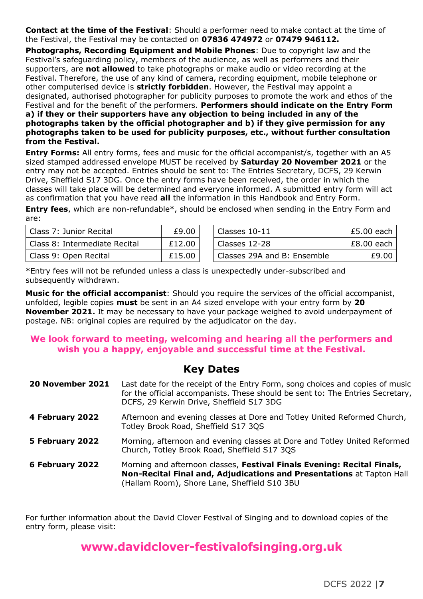**Contact at the time of the Festival**: Should a performer need to make contact at the time of the Festival, the Festival may be contacted on **07836 474972** or **07479 946112.**

**Photographs, Recording Equipment and Mobile Phones**: Due to copyright law and the Festival's safeguarding policy, members of the audience, as well as performers and their supporters, are **not allowed** to take photographs or make audio or video recording at the Festival. Therefore, the use of any kind of camera, recording equipment, mobile telephone or other computerised device is **strictly forbidden**. However, the Festival may appoint a designated, authorised photographer for publicity purposes to promote the work and ethos of the Festival and for the benefit of the performers. **Performers should indicate on the Entry Form a) if they or their supporters have any objection to being included in any of the photographs taken by the official photographer and b) if they give permission for any photographs taken to be used for publicity purposes, etc., without further consultation from the Festival.**

**Entry Forms:** All entry forms, fees and music for the official accompanist/s, together with an A5 sized stamped addressed envelope MUST be received by **Saturday 20 November 2021** or the entry may not be accepted. Entries should be sent to: The Entries Secretary, DCFS, 29 Kerwin Drive, Sheffield S17 3DG. Once the entry forms have been received, the order in which the classes will take place will be determined and everyone informed. A submitted entry form will act as confirmation that you have read **all** the information in this Handbook and Entry Form.

**Entry fees**, which are non-refundable\*, should be enclosed when sending in the Entry Form and are:

| Class 7: Junior Recital       | £9.00  | Classes 10-11               | £5.00 each   |
|-------------------------------|--------|-----------------------------|--------------|
| Class 8: Intermediate Recital | £12.00 | Classes 12-28               | $£8.00$ each |
| Class 9: Open Recital         | £15.00 | Classes 29A and B: Ensemble | £9.00        |

\*Entry fees will not be refunded unless a class is unexpectedly under-subscribed and subsequently withdrawn.

**Music for the official accompanist**: Should you require the services of the official accompanist, unfolded, legible copies **must** be sent in an A4 sized envelope with your entry form by **20 November 2021.** It may be necessary to have your package weighed to avoid underpayment of postage. NB: original copies are required by the adjudicator on the day.

### **We look forward to meeting, welcoming and hearing all the performers and wish you a happy, enjoyable and successful time at the Festival.**

### **Key Dates**

| 20 November 2021 | Last date for the receipt of the Entry Form, song choices and copies of music<br>for the official accompanists. These should be sent to: The Entries Secretary,<br>DCFS, 29 Kerwin Drive, Sheffield S17 3DG |
|------------------|-------------------------------------------------------------------------------------------------------------------------------------------------------------------------------------------------------------|
| 4 February 2022  | Afternoon and evening classes at Dore and Totley United Reformed Church,<br>Totley Brook Road, Sheffield S17 3QS                                                                                            |
| 5 February 2022  | Morning, afternoon and evening classes at Dore and Totley United Reformed<br>Church, Totley Brook Road, Sheffield S17 3QS                                                                                   |
| 6 February 2022  | Morning and afternoon classes, Festival Finals Evening: Recital Finals,<br>Non-Recital Final and, Adjudications and Presentations at Tapton Hall<br>(Hallam Room), Shore Lane, Sheffield S10 3BU            |

For further information about the David Clover Festival of Singing and to download copies of the entry form, please visit:

### **www.davidclover-festivalofsinging.org.uk**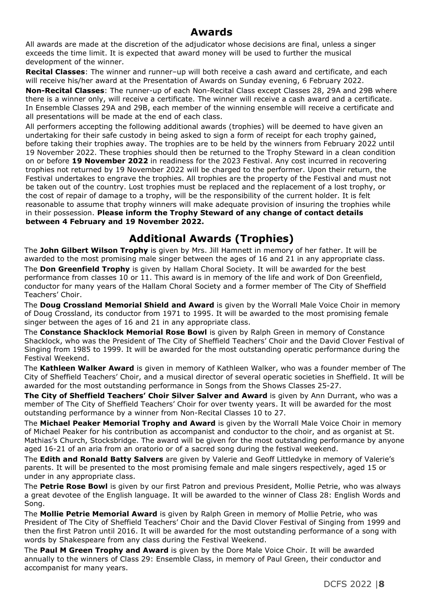### **Awards**

All awards are made at the discretion of the adjudicator whose decisions are final, unless a singer exceeds the time limit. It is expected that award money will be used to further the musical development of the winner.

**Recital Classes**: The winner and runner–up will both receive a cash award and certificate, and each will receive his/her award at the Presentation of Awards on Sunday evening, 6 February 2022.

**Non-Recital Classes**: The runner-up of each Non-Recital Class except Classes 28, 29A and 29B where there is a winner only, will receive a certificate. The winner will receive a cash award and a certificate. In Ensemble Classes 29A and 29B, each member of the winning ensemble will receive a certificate and all presentations will be made at the end of each class.

All performers accepting the following additional awards (trophies) will be deemed to have given an undertaking for their safe custody in being asked to sign a form of receipt for each trophy gained, before taking their trophies away. The trophies are to be held by the winners from February 2022 until 19 November 2022. These trophies should then be returned to the Trophy Steward in a clean condition on or before **19 November 2022** in readiness for the 2023 Festival. Any cost incurred in recovering trophies not returned by 19 November 2022 will be charged to the performer. Upon their return, the Festival undertakes to engrave the trophies. All trophies are the property of the Festival and must not be taken out of the country. Lost trophies must be replaced and the replacement of a lost trophy, or the cost of repair of damage to a trophy, will be the responsibility of the current holder. It is felt reasonable to assume that trophy winners will make adequate provision of insuring the trophies while in their possession. **Please inform the Trophy Steward of any change of contact details between 4 February and 19 November 2022.**

### **Additional Awards (Trophies)**

The **John Gilbert Wilson Trophy** is given by Mrs. Jill Hamnett in memory of her father. It will be awarded to the most promising male singer between the ages of 16 and 21 in any appropriate class. The **Don Greenfield Trophy** is given by Hallam Choral Society. It will be awarded for the best performance from classes 10 or 11. This award is in memory of the life and work of Don Greenfield, conductor for many years of the Hallam Choral Society and a former member of The City of Sheffield Teachers' Choir.

The **Doug Crossland Memorial Shield and Award** is given by the Worrall Male Voice Choir in memory of Doug Crossland, its conductor from 1971 to 1995. It will be awarded to the most promising female singer between the ages of 16 and 21 in any appropriate class.

The **Constance Shacklock Memorial Rose Bowl** is given by Ralph Green in memory of Constance Shacklock, who was the President of The City of Sheffield Teachers' Choir and the David Clover Festival of Singing from 1985 to 1999. It will be awarded for the most outstanding operatic performance during the Festival Weekend.

The **Kathleen Walker Award** is given in memory of Kathleen Walker, who was a founder member of The City of Sheffield Teachers' Choir, and a musical director of several operatic societies in Sheffield. It will be awarded for the most outstanding performance in Songs from the Shows Classes 25-27.

**The City of Sheffield Teachers' Choir Silver Salver and Award** is given by Ann Durrant, who was a member of The City of Sheffield Teachers' Choir for over twenty years. It will be awarded for the most outstanding performance by a winner from Non-Recital Classes 10 to 27.

The **Michael Peaker Memorial Trophy and Award** is given by the Worrall Male Voice Choir in memory of Michael Peaker for his contribution as accompanist and conductor to the choir, and as organist at St. Mathias's Church, Stocksbridge. The award will be given for the most outstanding performance by anyone aged 16-21 of an aria from an oratorio or of a sacred song during the festival weekend.

The **Edith and Ronald Batty Salvers** are given by Valerie and Geoff Littledyke in memory of Valerie's parents. It will be presented to the most promising female and male singers respectively, aged 15 or under in any appropriate class.

The **Petrie Rose Bowl** is given by our first Patron and previous President, Mollie Petrie, who was always a great devotee of the English language. It will be awarded to the winner of Class 28: English Words and Song.

The **Mollie Petrie Memorial Award** is given by Ralph Green in memory of Mollie Petrie, who was President of The City of Sheffield Teachers' Choir and the David Clover Festival of Singing from 1999 and then the first Patron until 2016. It will be awarded for the most outstanding performance of a song with words by Shakespeare from any class during the Festival Weekend.

The **Paul M Green Trophy and Award** is given by the Dore Male Voice Choir. It will be awarded annually to the winners of Class 29: Ensemble Class, in memory of Paul Green, their conductor and accompanist for many years.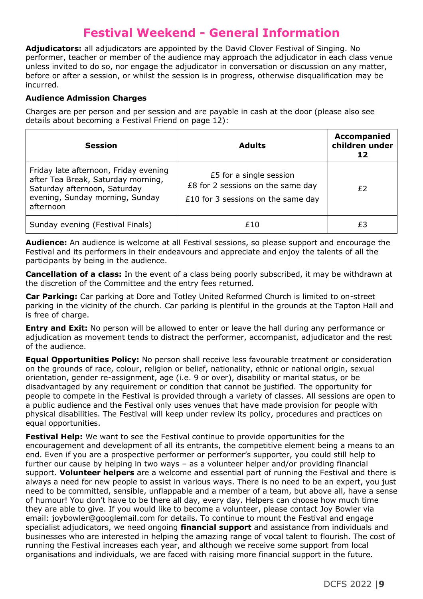### **Festival Weekend - General Information**

**Adjudicators:** all adjudicators are appointed by the David Clover Festival of Singing. No performer, teacher or member of the audience may approach the adjudicator in each class venue unless invited to do so, nor engage the adjudicator in conversation or discussion on any matter, before or after a session, or whilst the session is in progress, otherwise disqualification may be incurred.

### **Audience Admission Charges**

Charges are per person and per session and are payable in cash at the door (please also see details about becoming a Festival Friend on page 12):

| <b>Session</b>                                                                                                                                              | <b>Adults</b>                                                                                      | <b>Accompanied</b><br>children under<br>12 |
|-------------------------------------------------------------------------------------------------------------------------------------------------------------|----------------------------------------------------------------------------------------------------|--------------------------------------------|
| Friday late afternoon, Friday evening<br>after Tea Break, Saturday morning,<br>Saturday afternoon, Saturday<br>evening, Sunday morning, Sunday<br>afternoon | £5 for a single session<br>£8 for 2 sessions on the same day<br>£10 for 3 sessions on the same day | £2                                         |
| Sunday evening (Festival Finals)                                                                                                                            | £10                                                                                                | £З                                         |

**Audience:** An audience is welcome at all Festival sessions, so please support and encourage the Festival and its performers in their endeavours and appreciate and enjoy the talents of all the participants by being in the audience.

**Cancellation of a class:** In the event of a class being poorly subscribed, it may be withdrawn at the discretion of the Committee and the entry fees returned.

**Car Parking:** Car parking at Dore and Totley United Reformed Church is limited to on-street parking in the vicinity of the church. Car parking is plentiful in the grounds at the Tapton Hall and is free of charge.

**Entry and Exit:** No person will be allowed to enter or leave the hall during any performance or adjudication as movement tends to distract the performer, accompanist, adjudicator and the rest of the audience.

**Equal Opportunities Policy:** No person shall receive less favourable treatment or consideration on the grounds of race, colour, religion or belief, nationality, ethnic or national origin, sexual orientation, gender re-assignment, age (i.e. 9 or over), disability or marital status, or be disadvantaged by any requirement or condition that cannot be justified. The opportunity for people to compete in the Festival is provided through a variety of classes. All sessions are open to a public audience and the Festival only uses venues that have made provision for people with physical disabilities. The Festival will keep under review its policy, procedures and practices on equal opportunities.

**Festival Help:** We want to see the Festival continue to provide opportunities for the encouragement and development of all its entrants, the competitive element being a means to an end. Even if you are a prospective performer or performer's supporter, you could still help to further our cause by helping in two ways – as a volunteer helper and/or providing financial support. **Volunteer helpers** are a welcome and essential part of running the Festival and there is always a need for new people to assist in various ways. There is no need to be an expert, you just need to be committed, sensible, unflappable and a member of a team, but above all, have a sense of humour! You don't have to be there all day, every day. Helpers can choose how much time they are able to give. If you would like to become a volunteer, please contact Joy Bowler via email: joybowler@googlemail.com for details. To continue to mount the Festival and engage specialist adjudicators, we need ongoing **financial support** and assistance from individuals and businesses who are interested in helping the amazing range of vocal talent to flourish. The cost of running the Festival increases each year, and although we receive some support from local organisations and individuals, we are faced with raising more financial support in the future.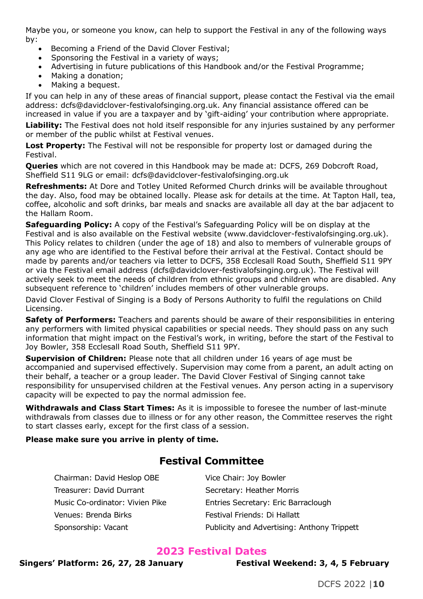Maybe you, or someone you know, can help to support the Festival in any of the following ways by:

- Becoming a Friend of the David Clover Festival;
- Sponsoring the Festival in a variety of ways;
- Advertising in future publications of this Handbook and/or the Festival Programme;
- Making a donation;
- Making a bequest.

If you can help in any of these areas of financial support, please contact the Festival via the email address: dcfs@davidclover-festivalofsinging.org.uk. Any financial assistance offered can be increased in value if you are a taxpayer and by 'gift-aiding' your contribution where appropriate.

**Liability:** The Festival does not hold itself responsible for any injuries sustained by any performer or member of the public whilst at Festival venues.

**Lost Property:** The Festival will not be responsible for property lost or damaged during the Festival.

**Queries** which are not covered in this Handbook may be made at: DCFS, 269 Dobcroft Road, Sheffield S11 9LG or email: dcfs@davidclover-festivalofsinging.org.uk

**Refreshments:** At Dore and Totley United Reformed Church drinks will be available throughout the day. Also, food may be obtained locally. Please ask for details at the time. At Tapton Hall, tea, coffee, alcoholic and soft drinks, bar meals and snacks are available all day at the bar adjacent to the Hallam Room.

**Safeguarding Policy:** A copy of the Festival's Safeguarding Policy will be on display at the Festival and is also available on the Festival website (www.davidclover-festivalofsinging.org.uk). This Policy relates to children (under the age of 18) and also to members of vulnerable groups of any age who are identified to the Festival before their arrival at the Festival. Contact should be made by parents and/or teachers via letter to DCFS, 358 Ecclesall Road South, Sheffield S11 9PY or via the Festival email address (dcfs@davidclover-festivalofsinging.org.uk). The Festival will actively seek to meet the needs of children from ethnic groups and children who are disabled. Any subsequent reference to 'children' includes members of other vulnerable groups.

David Clover Festival of Singing is a Body of Persons Authority to fulfil the regulations on Child Licensing.

**Safety of Performers:** Teachers and parents should be aware of their responsibilities in entering any performers with limited physical capabilities or special needs. They should pass on any such information that might impact on the Festival's work, in writing, before the start of the Festival to Joy Bowler, 358 Ecclesall Road South, Sheffield S11 9PY.

**Supervision of Children:** Please note that all children under 16 years of age must be accompanied and supervised effectively. Supervision may come from a parent, an adult acting on their behalf, a teacher or a group leader. The David Clover Festival of Singing cannot take responsibility for unsupervised children at the Festival venues. Any person acting in a supervisory capacity will be expected to pay the normal admission fee.

**Withdrawals and Class Start Times:** As it is impossible to foresee the number of last-minute withdrawals from classes due to illness or for any other reason, the Committee reserves the right to start classes early, except for the first class of a session.

### **Please make sure you arrive in plenty of time.**

### **Festival Committee**

| Chairman: David Heslop OBE      | Vice Chair: Joy Bowler                      |
|---------------------------------|---------------------------------------------|
| Treasurer: David Durrant        | Secretary: Heather Morris                   |
| Music Co-ordinator: Vivien Pike | Entries Secretary: Eric Barraclough         |
| Venues: Brenda Birks            | Festival Friends: Di Hallatt                |
| Sponsorship: Vacant             | Publicity and Advertising: Anthony Trippett |
|                                 |                                             |

### **2023 Festival Dates**

**Singers' Platform: 26, 27, 28 January Festival Weekend: 3, 4, 5 February**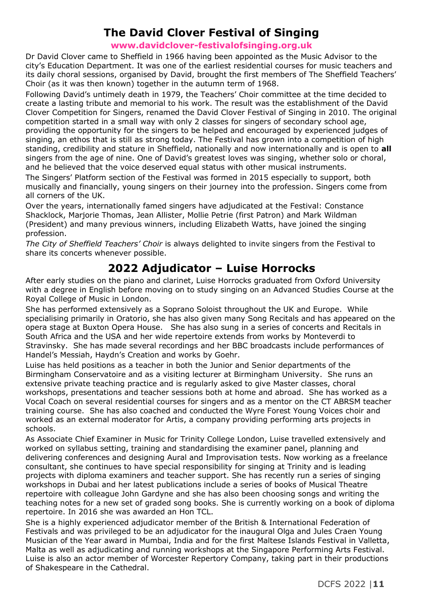### **The David Clover Festival of Singing**

### **www.davidclover-festivalofsinging.org.uk**

Dr David Clover came to Sheffield in 1966 having been appointed as the Music Advisor to the city's Education Department. It was one of the earliest residential courses for music teachers and its daily choral sessions, organised by David, brought the first members of The Sheffield Teachers' Choir (as it was then known) together in the autumn term of 1968.

Following David's untimely death in 1979, the Teachers' Choir committee at the time decided to create a lasting tribute and memorial to his work. The result was the establishment of the David Clover Competition for Singers, renamed the David Clover Festival of Singing in 2010. The original competition started in a small way with only 2 classes for singers of secondary school age, providing the opportunity for the singers to be helped and encouraged by experienced judges of singing, an ethos that is still as strong today. The Festival has grown into a competition of high standing, credibility and stature in Sheffield, nationally and now internationally and is open to **all** singers from the age of nine. One of David's greatest loves was singing, whether solo or choral, and he believed that the voice deserved equal status with other musical instruments.

The Singers' Platform section of the Festival was formed in 2015 especially to support, both musically and financially, young singers on their journey into the profession. Singers come from all corners of the UK.

Over the years, internationally famed singers have adjudicated at the Festival: Constance Shacklock, Marjorie Thomas, Jean Allister, Mollie Petrie (first Patron) and Mark Wildman (President) and many previous winners, including Elizabeth Watts, have joined the singing profession.

*The City of Sheffield Teachers' Choir* is always delighted to invite singers from the Festival to share its concerts whenever possible.

### **2022 Adjudicator – Luise Horrocks**

After early studies on the piano and clarinet, Luise Horrocks graduated from Oxford University with a degree in English before moving on to study singing on an Advanced Studies Course at the Royal College of Music in London.

She has performed extensively as a Soprano Soloist throughout the UK and Europe. While specialising primarily in Oratorio, she has also given many Song Recitals and has appeared on the opera stage at Buxton Opera House. She has also sung in a series of concerts and Recitals in South Africa and the USA and her wide repertoire extends from works by Monteverdi to Stravinsky. She has made several recordings and her BBC broadcasts include performances of Handel's Messiah, Haydn's Creation and works by Goehr.

Luise has held positions as a teacher in both the Junior and Senior departments of the Birmingham Conservatoire and as a visiting lecturer at Birmingham University. She runs an extensive private teaching practice and is regularly asked to give Master classes, choral workshops, presentations and teacher sessions both at home and abroad. She has worked as a Vocal Coach on several residential courses for singers and as a mentor on the CT ABRSM teacher training course. She has also coached and conducted the Wyre Forest Young Voices choir and worked as an external moderator for Artis, a company providing performing arts projects in schools.

As Associate Chief Examiner in Music for Trinity College London, Luise travelled extensively and worked on syllabus setting, training and standardising the examiner panel, planning and delivering conferences and designing Aural and Improvisation tests. Now working as a freelance consultant, she continues to have special responsibility for singing at Trinity and is leading projects with diploma examiners and teacher support. She has recently run a series of singing workshops in Dubai and her latest publications include a series of books of Musical Theatre repertoire with colleague John Gardyne and she has also been choosing songs and writing the teaching notes for a new set of graded song books. She is currently working on a book of diploma repertoire. In 2016 she was awarded an Hon TCL.

She is a highly experienced adjudicator member of the British & International Federation of Festivals and was privileged to be an adjudicator for the inaugural Olga and Jules Craen Young Musician of the Year award in Mumbai, India and for the first Maltese Islands Festival in Valletta, Malta as well as adjudicating and running workshops at the Singapore Performing Arts Festival. Luise is also an actor member of Worcester Repertory Company, taking part in their productions of Shakespeare in the Cathedral.